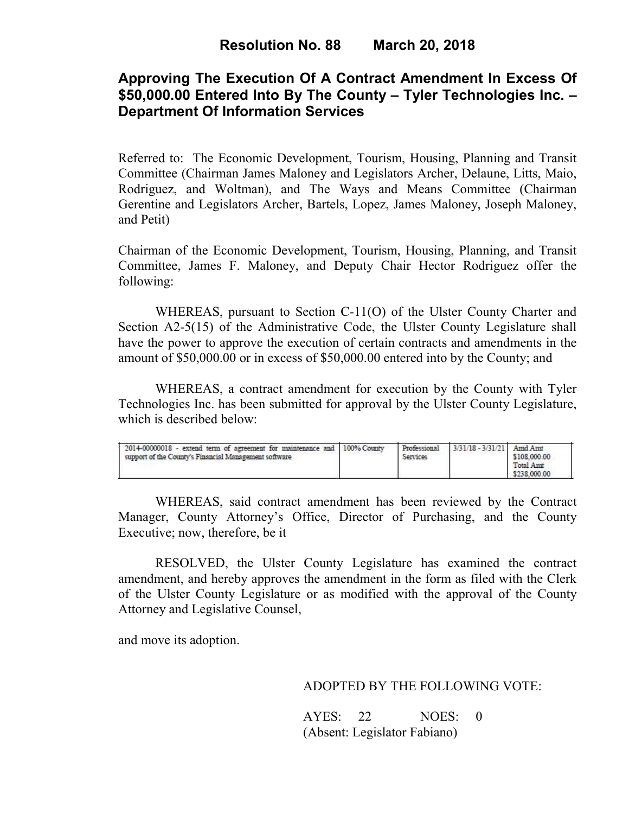# **Approving The Execution Of A Contract Amendment In Excess Of \$50,000.00 Entered Into By The County – Tyler Technologies Inc. – Department Of Information Services**

Referred to: The Economic Development, Tourism, Housing, Planning and Transit Committee (Chairman James Maloney and Legislators Archer, Delaune, Litts, Maio, Rodriguez, and Woltman), and The Ways and Means Committee (Chairman Gerentine and Legislators Archer, Bartels, Lopez, James Maloney, Joseph Maloney, and Petit)

Chairman of the Economic Development, Tourism, Housing, Planning, and Transit Committee, James F. Maloney, and Deputy Chair Hector Rodriguez offer the following:

WHEREAS, pursuant to Section C-11(O) of the Ulster County Charter and Section A2-5(15) of the Administrative Code, the Ulster County Legislature shall have the power to approve the execution of certain contracts and amendments in the amount of \$50,000.00 or in excess of \$50,000.00 entered into by the County; and

 WHEREAS, a contract amendment for execution by the County with Tyler Technologies Inc. has been submitted for approval by the Ulster County Legislature, which is described below:

| 2014-00000018 - extend term of agreement for maintenance and 1100% County<br>support of the County's Financial Management software. |  | Professional<br>Services | 3/31/18 - 3/31/21 Amd Amt | \$108,000.00<br>Total Amt<br>\$238,000.00 |  |
|-------------------------------------------------------------------------------------------------------------------------------------|--|--------------------------|---------------------------|-------------------------------------------|--|
|-------------------------------------------------------------------------------------------------------------------------------------|--|--------------------------|---------------------------|-------------------------------------------|--|

WHEREAS, said contract amendment has been reviewed by the Contract Manager, County Attorney's Office, Director of Purchasing, and the County Executive; now, therefore, be it

RESOLVED, the Ulster County Legislature has examined the contract amendment, and hereby approves the amendment in the form as filed with the Clerk of the Ulster County Legislature or as modified with the approval of the County Attorney and Legislative Counsel,

and move its adoption.

### ADOPTED BY THE FOLLOWING VOTE:

| AYES: 22 | NOES: 0                      |  |
|----------|------------------------------|--|
|          | (Absent: Legislator Fabiano) |  |